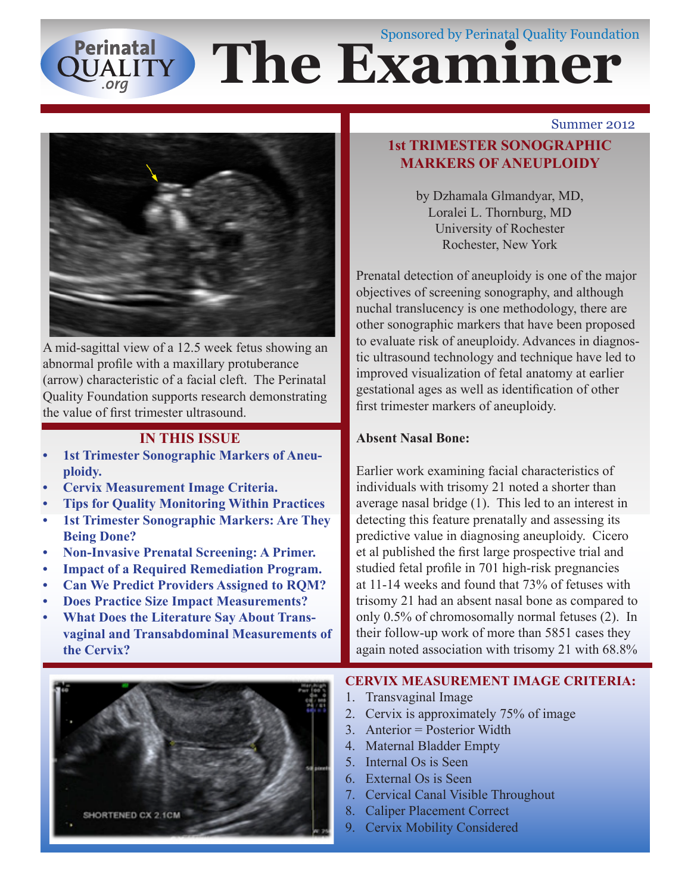# **The Exam**iner Sponsored by Perinatal Quality Foundation Perinatal<br>QUALITY



A mid-sagittal view of a 12.5 week fetus showing an abnormal profile with a maxillary protuberance (arrow) characteristic of a facial cleft. The Perinatal Quality Foundation supports research demonstrating the value of first trimester ultrasound.

# **IN THIS ISSUE**

- **1st Trimester Sonographic Markers of Aneuploidy.**
- **Cervix Measurement Image Criteria.**
- **Tips for Quality Monitoring Within Practices**
- **1st Trimester Sonographic Markers: Are They Being Done?**
- **Non-Invasive Prenatal Screening: A Primer.**
- **Impact of a Required Remediation Program.**
- **Can We Predict Providers Assigned to RQM?**
- **Does Practice Size Impact Measurements?**
- **What Does the Literature Say About Transvaginal and Transabdominal Measurements of the Cervix?**

# SHORTENED CX 2.1CM

#### Summer 2012

# **1st TRIMESTER SONOGRAPHIC MARKERS OF ANEUPLOIDY**

by Dzhamala Glmandyar, MD, Loralei L. Thornburg, MD University of Rochester Rochester, New York

Prenatal detection of aneuploidy is one of the major objectives of screening sonography, and although nuchal translucency is one methodology, there are other sonographic markers that have been proposed to evaluate risk of aneuploidy. Advances in diagnostic ultrasound technology and technique have led to improved visualization of fetal anatomy at earlier gestational ages as well as identification of other first trimester markers of aneuploidy.

# **Absent Nasal Bone:**

Earlier work examining facial characteristics of individuals with trisomy 21 noted a shorter than average nasal bridge (1). This led to an interest in detecting this feature prenatally and assessing its predictive value in diagnosing aneuploidy. Cicero et al published the first large prospective trial and studied fetal profile in 701 high-risk pregnancies at 11-14 weeks and found that 73% of fetuses with trisomy 21 had an absent nasal bone as compared to only 0.5% of chromosomally normal fetuses (2). In their follow-up work of more than 5851 cases they again noted association with trisomy 21 with 68.8%

# **CERVIX MEASUREMENT IMAGE CRITERIA:**

- 1. Transvaginal Image
- 2. Cervix is approximately 75% of image
- 3. Anterior = Posterior Width
- 4. Maternal Bladder Empty
- 5. Internal Os is Seen
- 6. External Os is Seen
- 7. Cervical Canal Visible Throughout
- 8. Caliper Placement Correct
- 9. Cervix Mobility Considered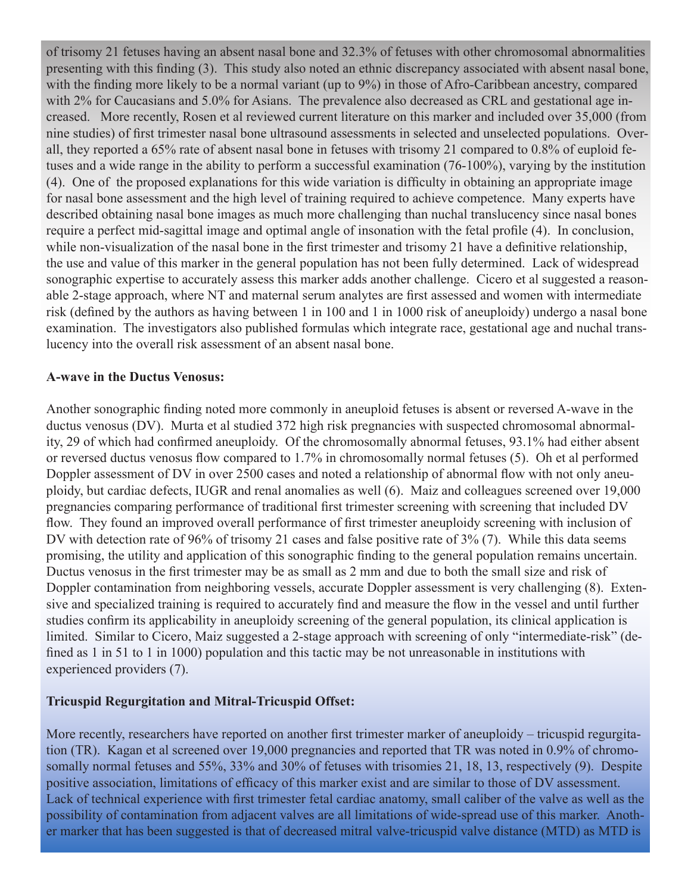of trisomy 21 fetuses having an absent nasal bone and 32.3% of fetuses with other chromosomal abnormalities presenting with this finding (3). This study also noted an ethnic discrepancy associated with absent nasal bone, with the finding more likely to be a normal variant (up to 9%) in those of Afro-Caribbean ancestry, compared with 2% for Caucasians and 5.0% for Asians. The prevalence also decreased as CRL and gestational age increased. More recently, Rosen et al reviewed current literature on this marker and included over 35,000 (from nine studies) of first trimester nasal bone ultrasound assessments in selected and unselected populations. Overall, they reported a 65% rate of absent nasal bone in fetuses with trisomy 21 compared to 0.8% of euploid fetuses and a wide range in the ability to perform a successful examination (76-100%), varying by the institution (4). One of the proposed explanations for this wide variation is difficulty in obtaining an appropriate image for nasal bone assessment and the high level of training required to achieve competence. Many experts have described obtaining nasal bone images as much more challenging than nuchal translucency since nasal bones require a perfect mid-sagittal image and optimal angle of insonation with the fetal profile (4). In conclusion, while non-visualization of the nasal bone in the first trimester and trisomy 21 have a definitive relationship, the use and value of this marker in the general population has not been fully determined. Lack of widespread sonographic expertise to accurately assess this marker adds another challenge. Cicero et al suggested a reasonable 2-stage approach, where NT and maternal serum analytes are first assessed and women with intermediate risk (defined by the authors as having between 1 in 100 and 1 in 1000 risk of aneuploidy) undergo a nasal bone examination. The investigators also published formulas which integrate race, gestational age and nuchal translucency into the overall risk assessment of an absent nasal bone.

#### **A-wave in the Ductus Venosus:**

Another sonographic finding noted more commonly in aneuploid fetuses is absent or reversed A-wave in the ductus venosus (DV). Murta et al studied 372 high risk pregnancies with suspected chromosomal abnormality, 29 of which had confirmed aneuploidy. Of the chromosomally abnormal fetuses, 93.1% had either absent or reversed ductus venosus flow compared to 1.7% in chromosomally normal fetuses (5). Oh et al performed Doppler assessment of DV in over 2500 cases and noted a relationship of abnormal flow with not only aneuploidy, but cardiac defects, IUGR and renal anomalies as well (6). Maiz and colleagues screened over 19,000 pregnancies comparing performance of traditional first trimester screening with screening that included DV flow. They found an improved overall performance of first trimester aneuploidy screening with inclusion of DV with detection rate of 96% of trisomy 21 cases and false positive rate of 3% (7). While this data seems promising, the utility and application of this sonographic finding to the general population remains uncertain. Ductus venosus in the first trimester may be as small as 2 mm and due to both the small size and risk of Doppler contamination from neighboring vessels, accurate Doppler assessment is very challenging (8). Extensive and specialized training is required to accurately find and measure the flow in the vessel and until further studies confirm its applicability in aneuploidy screening of the general population, its clinical application is limited. Similar to Cicero, Maiz suggested a 2-stage approach with screening of only "intermediate-risk" (defined as 1 in 51 to 1 in 1000) population and this tactic may be not unreasonable in institutions with experienced providers (7).

#### **Tricuspid Regurgitation and Mitral-Tricuspid Offset:**

More recently, researchers have reported on another first trimester marker of aneuploidy – tricuspid regurgitation (TR). Kagan et al screened over 19,000 pregnancies and reported that TR was noted in 0.9% of chromosomally normal fetuses and 55%, 33% and 30% of fetuses with trisomies 21, 18, 13, respectively (9). Despite positive association, limitations of efficacy of this marker exist and are similar to those of DV assessment. Lack of technical experience with first trimester fetal cardiac anatomy, small caliber of the valve as well as the possibility of contamination from adjacent valves are all limitations of wide-spread use of this marker. Another marker that has been suggested is that of decreased mitral valve-tricuspid valve distance (MTD) as MTD is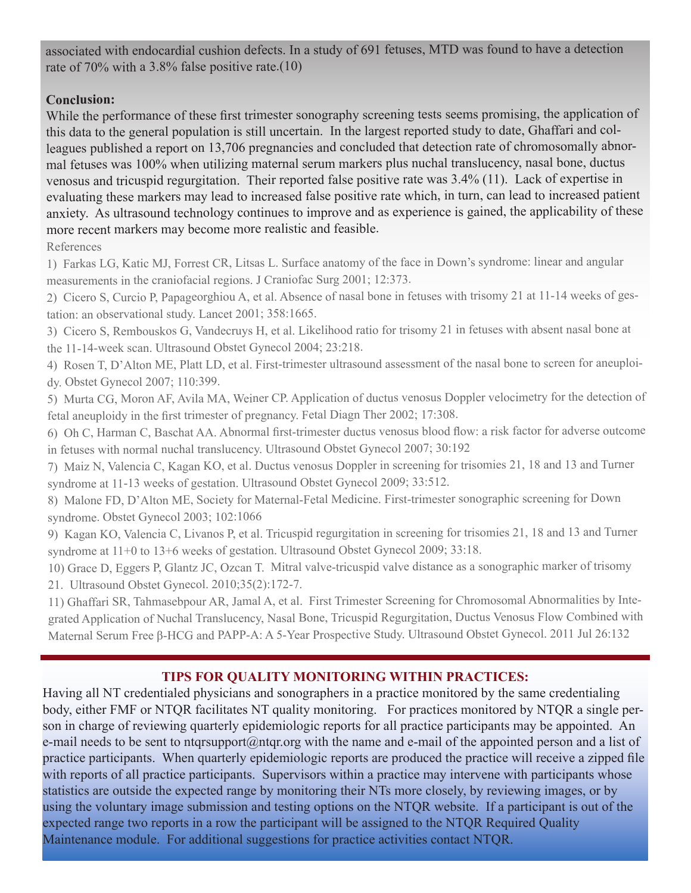associated with endocardial cushion defects. In a study of 691 fetuses, MTD was found to have a detection rate of 70% with a 3.8% false positive rate.(10)

# **Conclusion:**

While the performance of these first trimester sonography screening tests seems promising, the application of this data to the general population is still uncertain. In the largest reported study to date, Ghaffari and colleagues published a report on 13,706 pregnancies and concluded that detection rate of chromosomally abnormal fetuses was 100% when utilizing maternal serum markers plus nuchal translucency, nasal bone, ductus venosus and tricuspid regurgitation. Their reported false positive rate was 3.4% (11). Lack of expertise in evaluating these markers may lead to increased false positive rate which, in turn, can lead to increased patient anxiety. As ultrasound technology continues to improve and as experience is gained, the applicability of these more recent markers may become more realistic and feasible.

References

1) Farkas LG, Katic MJ, Forrest CR, Litsas L. Surface anatomy of the face in Down's syndrome: linear and angular measurements in the craniofacial regions. J Craniofac Surg 2001; 12:373.

2) Cicero S, Curcio P, Papageorghiou A, et al. Absence of nasal bone in fetuses with trisomy 21 at 11-14 weeks of gestation: an observational study. Lancet 2001; 358:1665.

3) Cicero S, Rembouskos G, Vandecruys H, et al. Likelihood ratio for trisomy 21 in fetuses with absent nasal bone at the 11-14-week scan. Ultrasound Obstet Gynecol 2004; 23:218.

4) Rosen T, D'Alton ME, Platt LD, et al. First-trimester ultrasound assessment of the nasal bone to screen for aneuploidy. Obstet Gynecol 2007; 110:399.

5) Murta CG, Moron AF, Avila MA, Weiner CP. Application of ductus venosus Doppler velocimetry for the detection of fetal aneuploidy in the first trimester of pregnancy. Fetal Diagn Ther 2002; 17:308.

6) Oh C, Harman C, Baschat AA. Abnormal first-trimester ductus venosus blood flow: a risk factor for adverse outcome in fetuses with normal nuchal translucency. Ultrasound Obstet Gynecol 2007; 30:192

7) Maiz N, Valencia C, Kagan KO, et al. Ductus venosus Doppler in screening for trisomies 21, 18 and 13 and Turner syndrome at 11-13 weeks of gestation. Ultrasound Obstet Gynecol 2009; 33:512.

8) Malone FD, D'Alton ME, Society for Maternal-Fetal Medicine. First-trimester sonographic screening for Down syndrome. Obstet Gynecol 2003; 102:1066

9) Kagan KO, Valencia C, Livanos P, et al. Tricuspid regurgitation in screening for trisomies 21, 18 and 13 and Turner syndrome at 11+0 to 13+6 weeks of gestation. Ultrasound Obstet Gynecol 2009; 33:18.

10) Grace D, Eggers P, Glantz JC, Ozcan T. Mitral valve-tricuspid valve distance as a sonographic marker of trisomy 21. Ultrasound Obstet Gynecol. 2010;35(2):172-7.

11) Ghaffari SR, Tahmasebpour AR, Jamal A, et al. First Trimester Screening for Chromosomal Abnormalities by Integrated Application of Nuchal Translucency, Nasal Bone, Tricuspid Regurgitation, Ductus Venosus Flow Combined with Maternal Serum Free β-HCG and PAPP-A: A 5-Year Prospective Study. Ultrasound Obstet Gynecol. 2011 Jul 26:132

# **TIPS FOR QUALITY MONITORING WITHIN PRACTICES:**

Having all NT credentialed physicians and sonographers in a practice monitored by the same credentialing body, either FMF or NTQR facilitates NT quality monitoring. For practices monitored by NTQR a single person in charge of reviewing quarterly epidemiologic reports for all practice participants may be appointed. An e-mail needs to be sent to ntqrsupport@ntqr.org with the name and e-mail of the appointed person and a list of practice participants. When quarterly epidemiologic reports are produced the practice will receive a zipped file with reports of all practice participants. Supervisors within a practice may intervene with participants whose statistics are outside the expected range by monitoring their NTs more closely, by reviewing images, or by using the voluntary image submission and testing options on the NTQR website. If a participant is out of the expected range two reports in a row the participant will be assigned to the NTQR Required Quality Maintenance module. For additional suggestions for practice activities contact NTQR.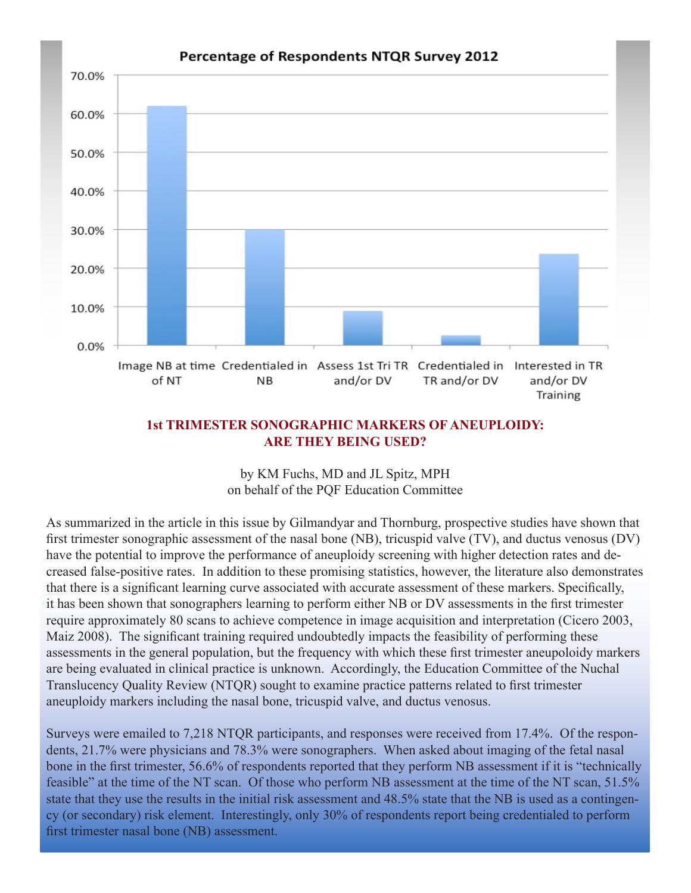

#### **1st TRIMESTER SONOGRAPHIC MARKERS OF ANEUPLOIDY: ARE THEY BEING USED?**

by KM Fuchs, MD and JL Spitz, MPH on behalf of the PQF Education Committee

As summarized in the article in this issue by Gilmandyar and Thornburg, prospective studies have shown that first trimester sonographic assessment of the nasal bone (NB), tricuspid valve (TV), and ductus venosus (DV) have the potential to improve the performance of aneuploidy screening with higher detection rates and decreased false-positive rates. In addition to these promising statistics, however, the literature also demonstrates that there is a significant learning curve associated with accurate assessment of these markers. Specifically, it has been shown that sonographers learning to perform either NB or DV assessments in the first trimester require approximately 80 scans to achieve competence in image acquisition and interpretation (Cicero 2003, Maiz 2008). The significant training required undoubtedly impacts the feasibility of performing these assessments in the general population, but the frequency with which these first trimester aneupoloidy markers are being evaluated in clinical practice is unknown. Accordingly, the Education Committee of the Nuchal Translucency Quality Review (NTQR) sought to examine practice patterns related to first trimester aneuploidy markers including the nasal bone, tricuspid valve, and ductus venosus.

Surveys were emailed to 7,218 NTQR participants, and responses were received from 17.4%. Of the respondents, 21.7% were physicians and 78.3% were sonographers. When asked about imaging of the fetal nasal bone in the first trimester, 56.6% of respondents reported that they perform NB assessment if it is "technically feasible" at the time of the NT scan. Of those who perform NB assessment at the time of the NT scan, 51.5% state that they use the results in the initial risk assessment and 48.5% state that the NB is used as a contingency (or secondary) risk element. Interestingly, only 30% of respondents report being credentialed to perform first trimester nasal bone (NB) assessment.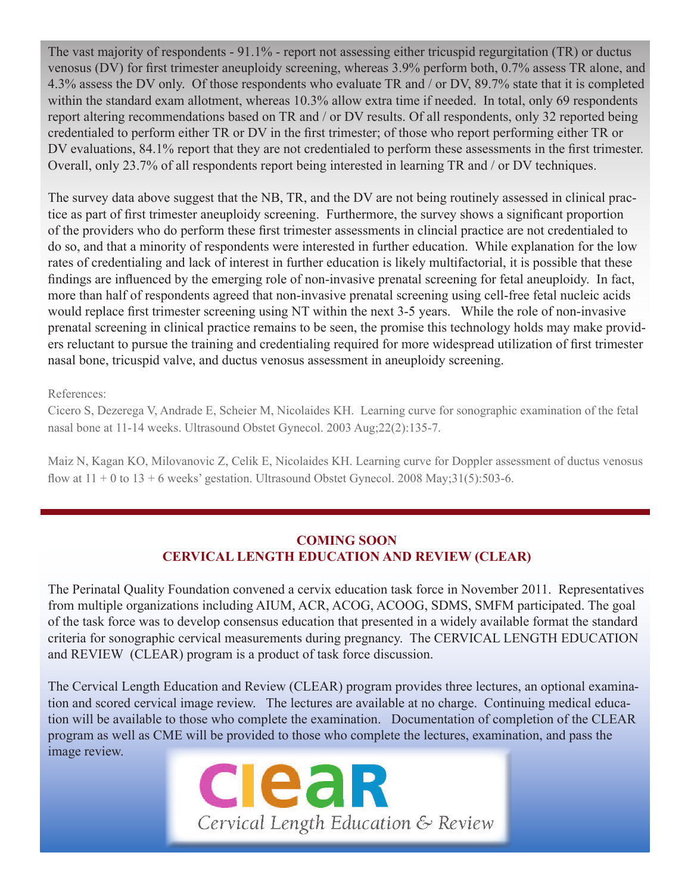The vast majority of respondents - 91.1% - report not assessing either tricuspid regurgitation (TR) or ductus venosus (DV) for first trimester aneuploidy screening, whereas 3.9% perform both, 0.7% assess TR alone, and 4.3% assess the DV only. Of those respondents who evaluate TR and / or DV, 89.7% state that it is completed within the standard exam allotment, whereas 10.3% allow extra time if needed. In total, only 69 respondents report altering recommendations based on TR and / or DV results. Of all respondents, only 32 reported being credentialed to perform either TR or DV in the first trimester; of those who report performing either TR or DV evaluations, 84.1% report that they are not credentialed to perform these assessments in the first trimester. Overall, only 23.7% of all respondents report being interested in learning TR and / or DV techniques.

The survey data above suggest that the NB, TR, and the DV are not being routinely assessed in clinical practice as part of first trimester aneuploidy screening. Furthermore, the survey shows a significant proportion of the providers who do perform these first trimester assessments in clincial practice are not credentialed to do so, and that a minority of respondents were interested in further education. While explanation for the low rates of credentialing and lack of interest in further education is likely multifactorial, it is possible that these findings are influenced by the emerging role of non-invasive prenatal screening for fetal aneuploidy. In fact, more than half of respondents agreed that non-invasive prenatal screening using cell-free fetal nucleic acids would replace first trimester screening using NT within the next 3-5 years. While the role of non-invasive prenatal screening in clinical practice remains to be seen, the promise this technology holds may make providers reluctant to pursue the training and credentialing required for more widespread utilization of first trimester nasal bone, tricuspid valve, and ductus venosus assessment in aneuploidy screening.

References:

Cicero S, Dezerega V, Andrade E, Scheier M, Nicolaides KH. Learning curve for sonographic examination of the fetal nasal bone at 11-14 weeks. Ultrasound Obstet Gynecol. 2003 Aug;22(2):135-7.

Maiz N, Kagan KO, Milovanovic Z, Celik E, Nicolaides KH. Learning curve for Doppler assessment of ductus venosus flow at  $11 + 0$  to  $13 + 6$  weeks' gestation. Ultrasound Obstet Gynecol. 2008 May; 31(5): 503-6.

# **COMING SOON CERVICAL LENGTH EDUCATION AND REVIEW (CLEAR)**

The Perinatal Quality Foundation convened a cervix education task force in November 2011. Representatives from multiple organizations including AIUM, ACR, ACOG, ACOOG, SDMS, SMFM participated. The goal of the task force was to develop consensus education that presented in a widely available format the standard criteria for sonographic cervical measurements during pregnancy. The CERVICAL LENGTH EDUCATION and REVIEW (CLEAR) program is a product of task force discussion.

The Cervical Length Education and Review (CLEAR) program provides three lectures, an optional examination and scored cervical image review. The lectures are available at no charge. Continuing medical education will be available to those who complete the examination. Documentation of completion of the CLEAR program as well as CME will be provided to those who complete the lectures, examination, and pass the image review.

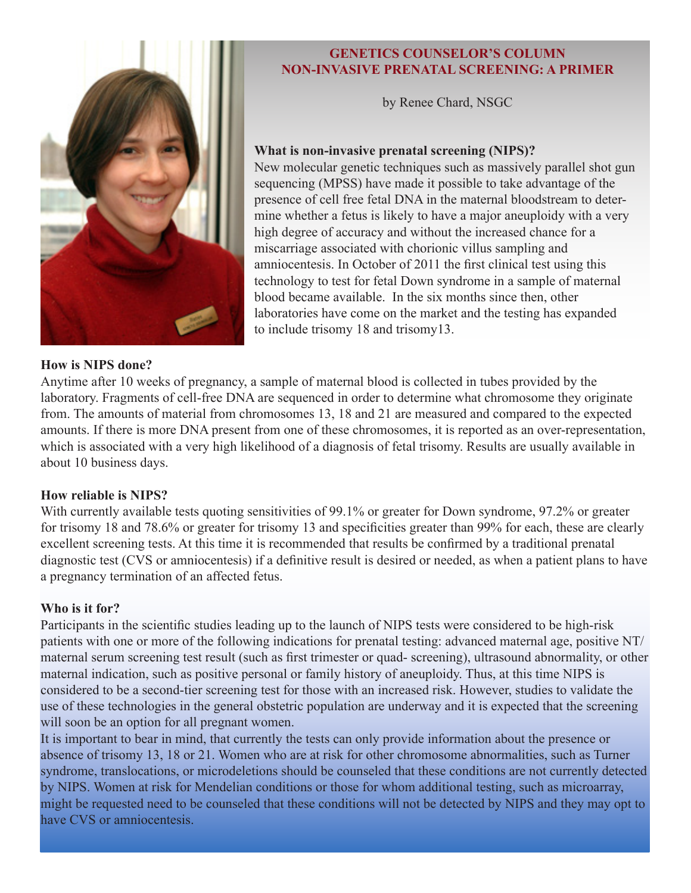

# **GENETICS COUNSELOR'S COLUMN NON-INVASIVE PRENATAL SCREENING: A PRIMER**

by Renee Chard, NSGC

#### **What is non-invasive prenatal screening (NIPS)?**

New molecular genetic techniques such as massively parallel shot gun sequencing (MPSS) have made it possible to take advantage of the presence of cell free fetal DNA in the maternal bloodstream to determine whether a fetus is likely to have a major aneuploidy with a very high degree of accuracy and without the increased chance for a miscarriage associated with chorionic villus sampling and amniocentesis. In October of 2011 the first clinical test using this technology to test for fetal Down syndrome in a sample of maternal blood became available. In the six months since then, other laboratories have come on the market and the testing has expanded to include trisomy 18 and trisomy13.

#### **How is NIPS done?**

Anytime after 10 weeks of pregnancy, a sample of maternal blood is collected in tubes provided by the laboratory. Fragments of cell-free DNA are sequenced in order to determine what chromosome they originate from. The amounts of material from chromosomes 13, 18 and 21 are measured and compared to the expected amounts. If there is more DNA present from one of these chromosomes, it is reported as an over-representation, which is associated with a very high likelihood of a diagnosis of fetal trisomy. Results are usually available in about 10 business days.

#### **How reliable is NIPS?**

With currently available tests quoting sensitivities of 99.1% or greater for Down syndrome, 97.2% or greater for trisomy 18 and 78.6% or greater for trisomy 13 and specificities greater than 99% for each, these are clearly excellent screening tests. At this time it is recommended that results be confirmed by a traditional prenatal diagnostic test (CVS or amniocentesis) if a definitive result is desired or needed, as when a patient plans to have a pregnancy termination of an affected fetus.

#### **Who is it for?**

Participants in the scientific studies leading up to the launch of NIPS tests were considered to be high-risk patients with one or more of the following indications for prenatal testing: advanced maternal age, positive NT/ maternal serum screening test result (such as first trimester or quad- screening), ultrasound abnormality, or other maternal indication, such as positive personal or family history of aneuploidy. Thus, at this time NIPS is considered to be a second-tier screening test for those with an increased risk. However, studies to validate the use of these technologies in the general obstetric population are underway and it is expected that the screening will soon be an option for all pregnant women.

It is important to bear in mind, that currently the tests can only provide information about the presence or absence of trisomy 13, 18 or 21. Women who are at risk for other chromosome abnormalities, such as Turner syndrome, translocations, or microdeletions should be counseled that these conditions are not currently detected by NIPS. Women at risk for Mendelian conditions or those for whom additional testing, such as microarray, might be requested need to be counseled that these conditions will not be detected by NIPS and they may opt to have CVS or amniocentesis.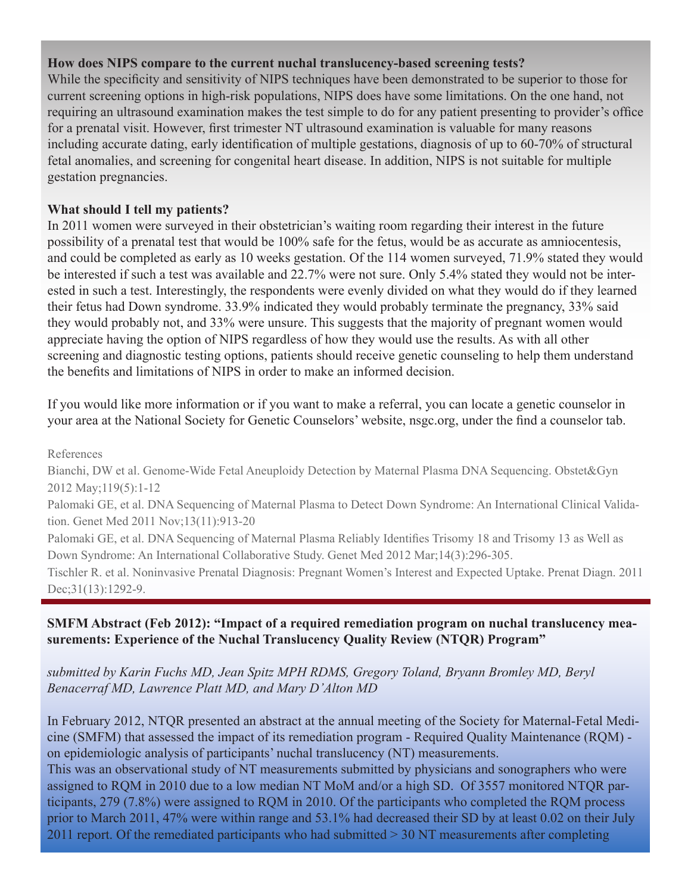#### **How does NIPS compare to the current nuchal translucency-based screening tests?**

While the specificity and sensitivity of NIPS techniques have been demonstrated to be superior to those for current screening options in high-risk populations, NIPS does have some limitations. On the one hand, not requiring an ultrasound examination makes the test simple to do for any patient presenting to provider's office for a prenatal visit. However, first trimester NT ultrasound examination is valuable for many reasons including accurate dating, early identification of multiple gestations, diagnosis of up to 60-70% of structural fetal anomalies, and screening for congenital heart disease. In addition, NIPS is not suitable for multiple gestation pregnancies.

# **What should I tell my patients?**

In 2011 women were surveyed in their obstetrician's waiting room regarding their interest in the future possibility of a prenatal test that would be 100% safe for the fetus, would be as accurate as amniocentesis, and could be completed as early as 10 weeks gestation. Of the 114 women surveyed, 71.9% stated they would be interested if such a test was available and 22.7% were not sure. Only 5.4% stated they would not be interested in such a test. Interestingly, the respondents were evenly divided on what they would do if they learned their fetus had Down syndrome. 33.9% indicated they would probably terminate the pregnancy, 33% said they would probably not, and 33% were unsure. This suggests that the majority of pregnant women would appreciate having the option of NIPS regardless of how they would use the results. As with all other screening and diagnostic testing options, patients should receive genetic counseling to help them understand the benefits and limitations of NIPS in order to make an informed decision.

If you would like more information or if you want to make a referral, you can locate a genetic counselor in your area at the National Society for Genetic Counselors' website, nsgc.org, under the find a counselor tab.

References

Bianchi, DW et al. Genome-Wide Fetal Aneuploidy Detection by Maternal Plasma DNA Sequencing. Obstet&Gyn 2012 May;119(5):1-12

Palomaki GE, et al. DNA Sequencing of Maternal Plasma to Detect Down Syndrome: An International Clinical Validation. Genet Med 2011 Nov;13(11):913-20

Palomaki GE, et al. DNA Sequencing of Maternal Plasma Reliably Identifies Trisomy 18 and Trisomy 13 as Well as Down Syndrome: An International Collaborative Study. Genet Med 2012 Mar;14(3):296-305.

Tischler R. et al. Noninvasive Prenatal Diagnosis: Pregnant Women's Interest and Expected Uptake. Prenat Diagn. 2011 Dec; 31(13): 1292-9.

# **SMFM Abstract (Feb 2012): "Impact of a required remediation program on nuchal translucency measurements: Experience of the Nuchal Translucency Quality Review (NTQR) Program"**

# *submitted by Karin Fuchs MD, Jean Spitz MPH RDMS, Gregory Toland, Bryann Bromley MD, Beryl Benacerraf MD, Lawrence Platt MD, and Mary D'Alton MD*

In February 2012, NTQR presented an abstract at the annual meeting of the Society for Maternal-Fetal Medicine (SMFM) that assessed the impact of its remediation program - Required Quality Maintenance (RQM) on epidemiologic analysis of participants' nuchal translucency (NT) measurements.

This was an observational study of NT measurements submitted by physicians and sonographers who were assigned to RQM in 2010 due to a low median NT MoM and/or a high SD. Of 3557 monitored NTQR participants, 279 (7.8%) were assigned to RQM in 2010. Of the participants who completed the RQM process prior to March 2011, 47% were within range and 53.1% had decreased their SD by at least 0.02 on their July 2011 report. Of the remediated participants who had submitted > 30 NT measurements after completing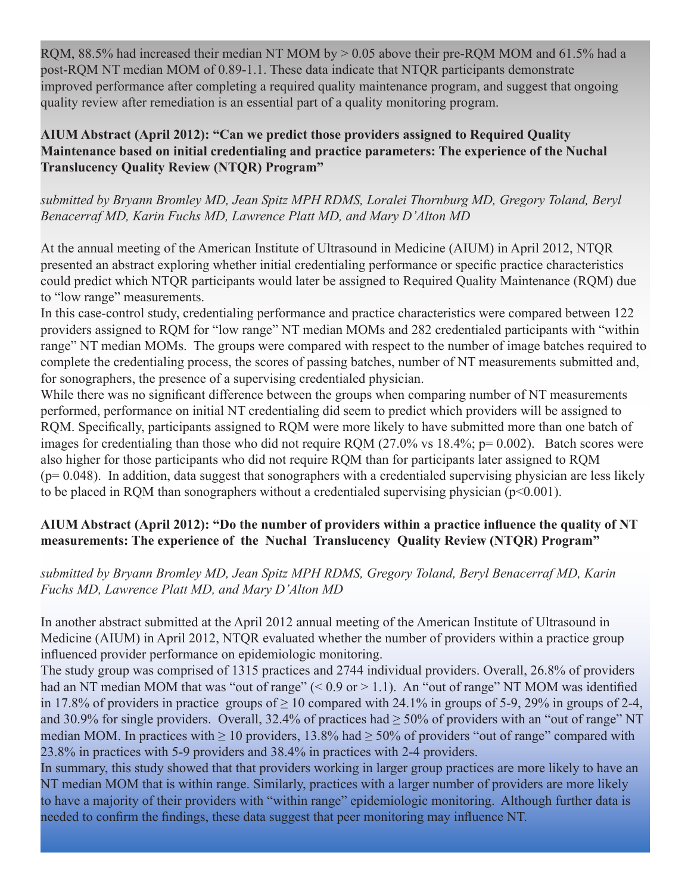RQM,  $88.5\%$  had increased their median NT MOM by  $> 0.05$  above their pre-RQM MOM and 61.5% had a post-RQM NT median MOM of 0.89-1.1. These data indicate that NTQR participants demonstrate improved performance after completing a required quality maintenance program, and suggest that ongoing quality review after remediation is an essential part of a quality monitoring program.

**AIUM Abstract (April 2012): "Can we predict those providers assigned to Required Quality Maintenance based on initial credentialing and practice parameters: The experience of the Nuchal Translucency Quality Review (NTQR) Program"** 

*submitted by Bryann Bromley MD, Jean Spitz MPH RDMS, Loralei Thornburg MD, Gregory Toland, Beryl Benacerraf MD, Karin Fuchs MD, Lawrence Platt MD, and Mary D'Alton MD*

At the annual meeting of the American Institute of Ultrasound in Medicine (AIUM) in April 2012, NTQR presented an abstract exploring whether initial credentialing performance or specific practice characteristics could predict which NTQR participants would later be assigned to Required Quality Maintenance (RQM) due to "low range" measurements.

In this case-control study, credentialing performance and practice characteristics were compared between 122 providers assigned to RQM for "low range" NT median MOMs and 282 credentialed participants with "within range" NT median MOMs. The groups were compared with respect to the number of image batches required to complete the credentialing process, the scores of passing batches, number of NT measurements submitted and, for sonographers, the presence of a supervising credentialed physician.

While there was no significant difference between the groups when comparing number of NT measurements performed, performance on initial NT credentialing did seem to predict which providers will be assigned to RQM. Specifically, participants assigned to RQM were more likely to have submitted more than one batch of images for credentialing than those who did not require ROM  $(27.0\% \text{ vs } 18.4\% \text{; } p= 0.002)$ . Batch scores were also higher for those participants who did not require RQM than for participants later assigned to RQM  $(p= 0.048)$ . In addition, data suggest that sonographers with a credentialed supervising physician are less likely to be placed in RQM than sonographers without a credentialed supervising physician  $(p<0.001)$ .

# **AIUM Abstract (April 2012): "Do the number of providers within a practice influence the quality of NT measurements: The experience of the Nuchal Translucency Quality Review (NTQR) Program"**

# *submitted by Bryann Bromley MD, Jean Spitz MPH RDMS, Gregory Toland, Beryl Benacerraf MD, Karin Fuchs MD, Lawrence Platt MD, and Mary D'Alton MD*

In another abstract submitted at the April 2012 annual meeting of the American Institute of Ultrasound in Medicine (AIUM) in April 2012, NTQR evaluated whether the number of providers within a practice group influenced provider performance on epidemiologic monitoring.

The study group was comprised of 1315 practices and 2744 individual providers. Overall, 26.8% of providers had an NT median MOM that was "out of range" (< 0.9 or > 1.1). An "out of range" NT MOM was identified in 17.8% of providers in practice groups of  $\geq 10$  compared with 24.1% in groups of 5-9, 29% in groups of 2-4, and 30.9% for single providers. Overall, 32.4% of practices had  $\geq$  50% of providers with an "out of range" NT median MOM. In practices with  $\geq 10$  providers, 13.8% had  $\geq 50$ % of providers "out of range" compared with 23.8% in practices with 5-9 providers and 38.4% in practices with 2-4 providers.

In summary, this study showed that that providers working in larger group practices are more likely to have an NT median MOM that is within range. Similarly, practices with a larger number of providers are more likely to have a majority of their providers with "within range" epidemiologic monitoring. Although further data is needed to confirm the findings, these data suggest that peer monitoring may influence NT.